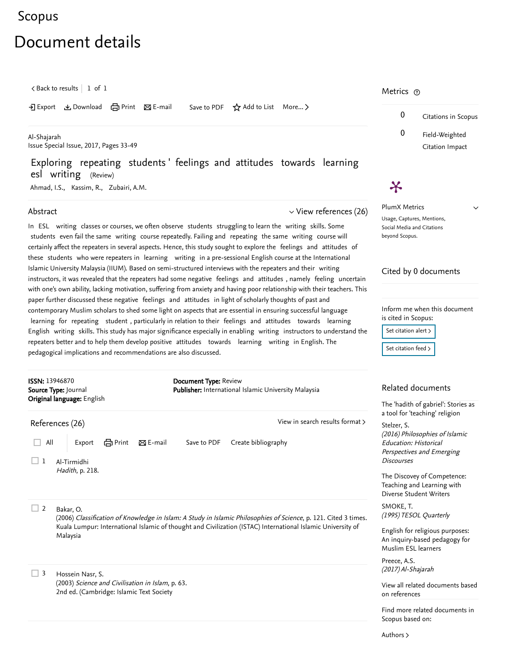## <span id="page-0-1"></span>[Scopus](https://www.scopus.com/home.uri?zone=header&origin=searchbasic)

# Document details

 $\zeta$  [Back to results](https://www.scopus.com/results/results.uri?sort=plf-f&src=s&st1=Exploring+repeating+students%27+feelings+and+attitudes+towards+learning+esl+writing&st2=&sid=ba42fa7f3780344a4d2460b34042185e&sot=b&sdt=b&sl=96&s=TITLE-ABS-KEY%28Exploring+repeating+students%27+feelings+and+attitudes+towards+learning+esl+writing%29&offset=1&origin=recordpage)  $\vert$  1 of 1

→ Export & Download d Print ⊠ E-mail Save to PDF ☆ Add to List More... >

[Al-Shajarah](https://www.scopus.com/sourceid/21100218383?origin=recordpage) Issue Special Issue, 2017, Pages 33-49

## Exploring repeating students ' feelings and attitudes towards learning esl writing (Review)

[Ahmad, I.S.](https://www.scopus.com/authid/detail.uri?authorId=57200138569&eid=2-s2.0-85039922475), [Kassim, R.](https://www.scopus.com/authid/detail.uri?authorId=57200139137&eid=2-s2.0-85039922475), [Zubairi, A.M.](https://www.scopus.com/authid/detail.uri?authorId=34977942200&eid=2-s2.0-85039922475)

#### Abstract

#### $\vee$  [View references \(26\)](#page-0-0)

[View in search results format](https://www.scopus.com/search/submit/references.uri?sort=plf-f&src=r&imp=t&sid=8008b8de38e3caa2a9496cc1dc48eec1&sot=rec&sdt=citedreferences&sl=23&s=EID%282-s2.0-85039922475%29&origin=recordpage&citeCnt=1&citingId=2-s2.0-85039922475) >

In ESL writing classes or courses, we often observe students struggling to learn the writing skills. Some students even fail the same writing course repeatedly. Failing and repeating the same writing course will certainly affect the repeaters in several aspects. Hence, this study sought to explore the feelings and attitudes of these students who were repeaters in learning writing in a pre-sessional English course at the International Islamic University Malaysia (IIUM). Based on semi-structured interviews with the repeaters and their writing instructors, it was revealed that the repeaters had some negative feelings and attitudes , namely feeling uncertain with one's own ability, lacking motivation, suffering from anxiety and having poor relationship with their teachers. This paper further discussed these negative feelings and attitudes in light of scholarly thoughts of past and contemporary Muslim scholars to shed some light on aspects that are essential in ensuring successful language learning for repeating student , particularly in relation to their feelings and attitudes towards learning English writing skills. This study has major significance especially in enabling writing instructors to understand the repeaters better and to help them develop positive attitudes towards learning writing in English. The pedagogical implications and recommendations are also discussed.

Document Type: Review

All Export  $\Box$  All Export  $\Box$  Print  $\boxtimes$  E-mail Save to PDF Create bibliography

Publisher: International Islamic University Malaysia

 $\boldsymbol{\varkappa}$ 

PlumX Metrics Usage, Captures, Mentions, Social Media and Citations beyond Scopus.

#### Cited by 0 documents

Inform me when this document is cited in Scopus:

Set citation alert >

[Set citation feed](https://www.scopus.com/results/rss/handler.uri?citeEid=2-s2.0-85039922475) >

### Related documents

[The 'hadith of gabriel': Stories as](https://www.scopus.com/record/display.uri?origin=recordpage&zone=relatedDocuments&eid=2-s2.0-84979719058&citeCnt=0&noHighlight=false&sort=plf-f&src=s&st1=Exploring+repeating+students%27+feelings+and+attitudes+towards+learning+esl+writing&st2=&sid=ba42fa7f3780344a4d2460b34042185e&sot=b&sdt=b&sl=96&s=TITLE-ABS-KEY%28Exploring+repeating+students%27+feelings+and+attitudes+towards+learning+esl+writing%29&relpos=0) a tool for 'teaching' religion

(2016) Philosophies of Islamic Education: Historical Perspectives and Emerging **Discourses** [Stelzer, S.](https://www.scopus.com/authid/detail.uri?origin=recordpage&authorId=38262027700&zone=relatedDocuments)

[The Discovey of Competence:](https://www.scopus.com/record/display.uri?origin=recordpage&zone=relatedDocuments&eid=2-s2.0-84982701843&citeCnt=0&noHighlight=false&sort=plf-f&src=s&st1=Exploring+repeating+students%27+feelings+and+attitudes+towards+learning+esl+writing&st2=&sid=ba42fa7f3780344a4d2460b34042185e&sot=b&sdt=b&sl=96&s=TITLE-ABS-KEY%28Exploring+repeating+students%27+feelings+and+attitudes+towards+learning+esl+writing%29&relpos=1) Teaching and Learning with Diverse Student Writers

(1995) TESOL Quarterly [SMOKE, T.](https://www.scopus.com/authid/detail.uri?origin=recordpage&authorId=56445463400&zone=relatedDocuments)

English for religious purposes: [An inquiry-based pedagogy for](https://www.scopus.com/record/display.uri?origin=recordpage&zone=relatedDocuments&eid=2-s2.0-85039913658&citeCnt=0&noHighlight=false&sort=plf-f&src=s&st1=Exploring+repeating+students%27+feelings+and+attitudes+towards+learning+esl+writing&st2=&sid=ba42fa7f3780344a4d2460b34042185e&sot=b&sdt=b&sl=96&s=TITLE-ABS-KEY%28Exploring+repeating+students%27+feelings+and+attitudes+towards+learning+esl+writing%29&relpos=2) Muslim ESL learners

(2017) Al-Shajarah [Preece, A.S.](https://www.scopus.com/authid/detail.uri?origin=recordpage&authorId=57196191498&zone=relatedDocuments)

[View all related documents based](https://www.scopus.com/search/submit/mlt.uri?eid=2-s2.0-85039922475&src=s&all=true&origin=recordpage&method=ref&zone=relatedDocuments) on references

Find more related documents in Scopus based on:

[Authors](https://www.scopus.com/search/submit/mlt.uri?eid=2-s2.0-85039922475&src=s&all=true&origin=recordpage&method=aut&zone=relatedDocuments) >

#### Bakar, O.  $\Box$  2

 $\Box$  1

<span id="page-0-0"></span>References (26)

ISSN: 13946870 Source Type: Journal Original language: English

> Al-Tirmidhi Hadith, p. 218.

(2006) Classification of Knowledge in Islam: A Study in Islamic Philosophies of Science, p. 121. [Cited 3 times](https://www.scopus.com/search/submit/citedby.uri?eid=2-s2.0-85039922475&refeid=2-s2.0-84957539447&src=s&origin=reflist&refstat=dummy). Kuala Lumpur: International Islamic of thought and Civilization (ISTAC) International Islamic University of Malaysia

Hossein Nasr, S. (2003) Science and Civilisation in Islam, p. 63. 2nd ed. (Cambridge: Islamic Text Society  $\Box$  3

0 Citations in Scopus 0 Field-Weighted

Citation Impact

 $\checkmark$ 

Metrics ල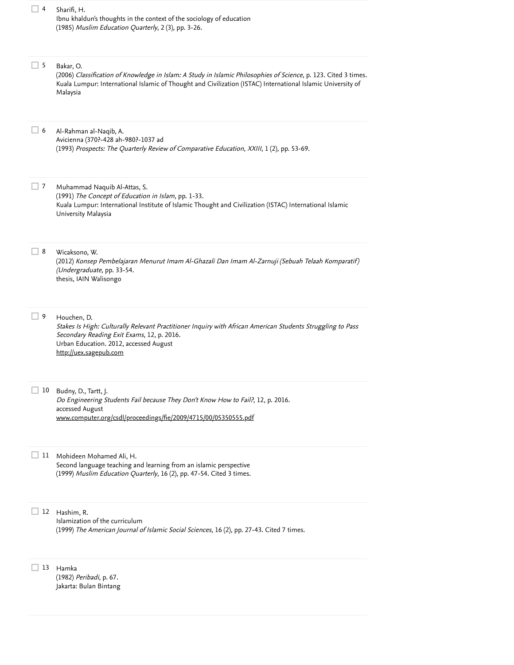| 4         | Sharifi, H.<br>Ibnu khaldun's thoughts in the context of the sociology of education<br>(1985) Muslim Education Quarterly, 2 (3), pp. 3-26.                                                                                                              |
|-----------|---------------------------------------------------------------------------------------------------------------------------------------------------------------------------------------------------------------------------------------------------------|
| $\vert$ 5 | Bakar, O.<br>(2006) Classification of Knowledge in Islam: A Study in Islamic Philosophies of Science, p. 123. Cited 3 times.<br>Kuala Lumpur: International Islamic of Thought and Civilization (ISTAC) International Islamic University of<br>Malaysia |
| 6         | Al-Rahman al-Naqib, A.<br>Avicienna (370?-428 ah-980?-1037 ad<br>(1993) Prospects: The Quarterly Review of Comparative Education, XXIII, 1 (2), pp. 53-69.                                                                                              |
| 7         | Muhammad Naquib Al-Attas, S.<br>(1991) The Concept of Education in Islam, pp. 1-33.<br>Kuala Lumpur: International Institute of Islamic Thought and Civilization (ISTAC) International Islamic<br>University Malaysia                                   |
| 8         | Wicaksono, W.<br>(2012) Konsep Pembelajaran Menurut Imam Al-Ghazali Dan Imam Al-Zarnuji (Sebuah Telaah Komparatif)<br>(Undergraduate, pp. 33-54.<br>thesis, IAIN Walisongo                                                                              |
| 9         | Houchen, D.<br>Stakes Is High: Culturally Relevant Practitioner Inquiry with African American Students Struggling to Pass<br>Secondary Reading Exit Exams, 12, p. 2016.<br>Urban Education. 2012, accessed August<br>http://uex.sagepub.com             |
| 10        | Budny, D., Tartt, J.<br>Do Engineering Students Fail because They Don't Know How to Fail?, 12, p. 2016.<br>accessed August<br>www.computer.org/csdl/proceedings/fie/2009/4715/00/05350555.pdf                                                           |
| 11        | Mohideen Mohamed Ali, H.<br>Second language teaching and learning from an islamic perspective<br>(1999) Muslim Education Quarterly, 16 (2), pp. 47-54. Cited 3 times.                                                                                   |
| 12        | Hashim, R.<br>Islamization of the curriculum<br>(1999) The American Journal of Islamic Social Sciences, 16 (2), pp. 27-43. Cited 7 times.                                                                                                               |
| 13        | Hamka<br>(1982) Peribadi, p. 67.<br>Jakarta: Bulan Bintang                                                                                                                                                                                              |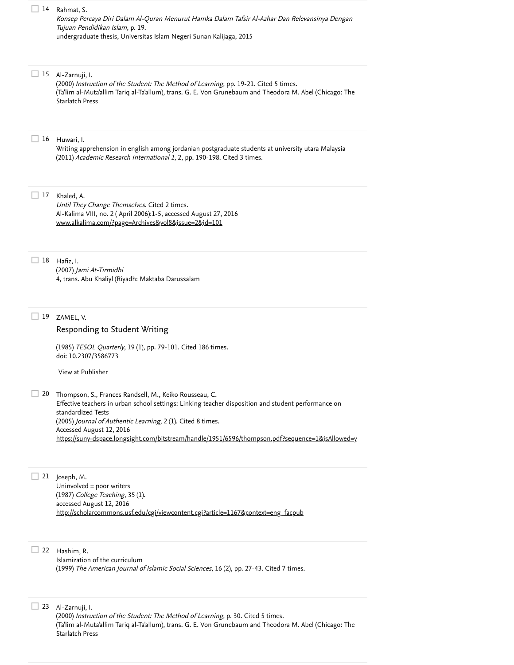|    | 14 Rahmat, S.<br>Konsep Percaya Diri Dalam Al-Quran Menurut Hamka Dalam Tafsir Al-Azhar Dan Relevansinya Dengan<br>Tujuan Pendidikan Islam, p. 19.<br>undergraduate thesis, Universitas Islam Negeri Sunan Kalijaga, 2015                                                                                                                                                          |
|----|------------------------------------------------------------------------------------------------------------------------------------------------------------------------------------------------------------------------------------------------------------------------------------------------------------------------------------------------------------------------------------|
| 15 | Al-Zarnuji, I.<br>(2000) Instruction of the Student: The Method of Learning, pp. 19-21. Cited 5 times.<br>(Ta'lim al-Muta'allim Tariq al-Ta'allum), trans. G. E. Von Grunebaum and Theodora M. Abel (Chicago: The<br>Starlatch Press                                                                                                                                               |
|    | 16 Huwari, I.<br>Writing apprehension in english among jordanian postgraduate students at university utara Malaysia<br>(2011) Academic Research International 1, 2, pp. 190-198. Cited 3 times.                                                                                                                                                                                    |
| 17 | Khaled, A.<br>Until They Change Themselves. Cited 2 times.<br>Al-Kalima VIII, no. 2 (April 2006):1-5, accessed August 27, 2016<br>www.alkalima.com/?page=Archives&yol8&issue=2&id=101                                                                                                                                                                                              |
|    | 18 Hafiz, I.<br>(2007) Jami At-Tirmidhi<br>4, trans. Abu Khaliyl (Riyadh: Maktaba Darussalam                                                                                                                                                                                                                                                                                       |
| 19 | ZAMEL, V.<br>Responding to Student Writing<br>(1985) TESOL Quarterly, 19 (1), pp. 79-101. Cited 186 times.<br>doi: 10.2307/3586773<br>View at Publisher                                                                                                                                                                                                                            |
| 20 | Thompson, S., Frances Randsell, M., Keiko Rousseau, C.<br>Effective teachers in urban school settings: Linking teacher disposition and student performance on<br>standardized Tests<br>(2005) Journal of Authentic Learning, 2 (1). Cited 8 times.<br>Accessed August 12, 2016<br>https://suny-dspace.longsight.com/bitstream/handle/1951/6596/thompson.pdf?sequence=1&isAllowed=y |
|    | 21 Joseph, M.<br>Uninvolved = poor writers<br>(1987) College Teaching, 35 (1).<br>accessed August 12, 2016<br>http://scholarcommons.usf.edu/cgi/viewcontent.cgi?article=1167&context=eng_facpub                                                                                                                                                                                    |
| 22 | Hashim, R.<br>Islamization of the curriculum<br>(1999) The American Journal of Islamic Social Sciences, 16 (2), pp. 27-43. Cited 7 times.                                                                                                                                                                                                                                          |

Al-Zarnuji, I.

23

Starlatch Press

(2000) *Instruction of the Student: The Method of Learning*, p. 30. Cited 5 times.

(Ta'lim al-Muta'allim Tariq al-Ta'allum), trans. G. E. Von Grunebaum and Theodora M. Abel (Chicago: The

[Cited 5 times](https://www.scopus.com/search/submit/citedby.uri?eid=2-s2.0-85039922475&refeid=2-s2.0-84979719028&src=s&origin=reflist&refstat=dummy)